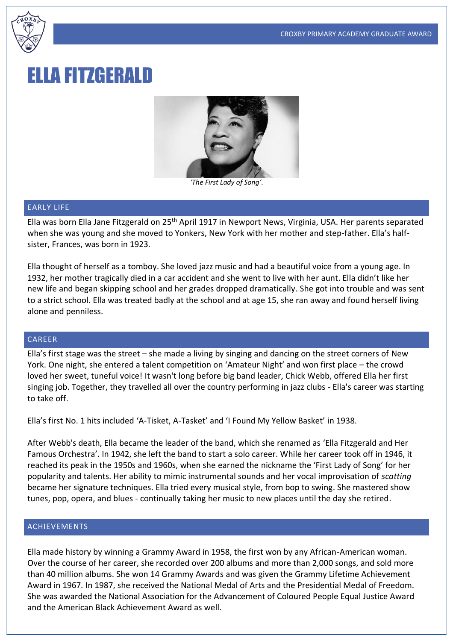

# ELLA FITZGERALD



*'The First Lady of Song'.*

#### EARLY LIFE

Ella was born Ella Jane Fitzgerald on 25th April 1917 in Newport News, Virginia, USA. Her parents separated when she was young and she moved to Yonkers, New York with her mother and step-father. Ella's halfsister, Frances, was born in 1923.

Ella thought of herself as a tomboy. She loved jazz music and had a beautiful voice from a young age. In 1932, her mother tragically died in a car accident and she went to live with her aunt. Ella didn't like her new life and began skipping school and her grades dropped dramatically. She got into trouble and was sent to a strict school. Ella was treated badly at the school and at age 15, she ran away and found herself living alone and penniless.

## CAREER

Ella's first stage was the street – she made a living by singing and dancing on the street corners of New York. One night, she entered a talent competition on 'Amateur Night' and won first place – the crowd loved her sweet, tuneful voice! It wasn't long before big band leader, Chick Webb, offered Ella her first singing job. Together, they travelled all over the country performing in jazz clubs - Ella's career was starting to take off.

Ella's first No. 1 hits included 'A-Tisket, A-Tasket' and 'I Found My Yellow Basket' in 1938.

After Webb's death, Ella became the leader of the band, which she renamed as 'Ella Fitzgerald and Her Famous Orchestra'. In 1942, she left the band to start a solo career. While her career took off in 1946, it reached its peak in the 1950s and 1960s, when she earned the nickname the 'First Lady of Song' for her popularity and talents. Her ability to mimic instrumental sounds and her vocal improvisation of *scatting* became her signature techniques. Ella tried every musical style, from bop to swing. She mastered show tunes, pop, opera, and blues - continually taking her music to new places until the day she retired.

### ACHIEVEMENTS

Ella made history by winning a Grammy Award in 1958, the first won by any African-American woman. Over the course of her career, she recorded over 200 albums and more than 2,000 songs, and sold more than 40 million albums. She won 14 Grammy Awards and was given the Grammy Lifetime Achievement Award in 1967. In 1987, she received the National Medal of Arts and the Presidential Medal of Freedom. She was awarded the National Association for the Advancement of Coloured People Equal Justice Award and the American Black Achievement Award as well.